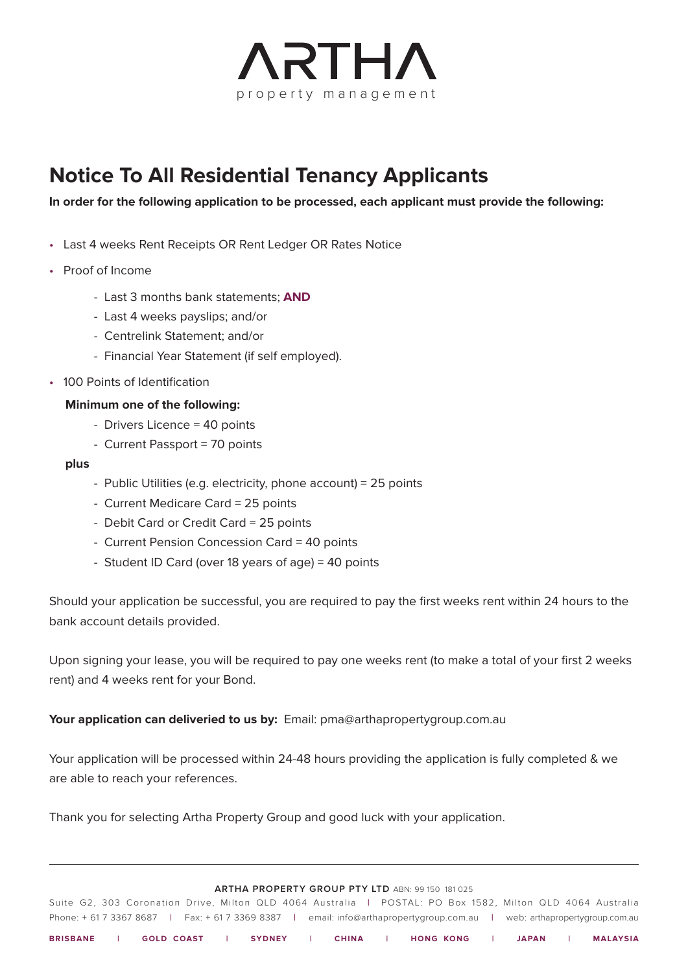

## **Notice To All Residential Tenancy Applicants**

**In order for the following application to be processed, each applicant must provide the following:**

- Last 4 weeks Rent Receipts OR Rent Ledger OR Rates Notice
- Proof of Income
	- Last 3 months bank statements; **AND**
	- Last 4 weeks payslips; and/or
	- Centrelink Statement; and/or
	- Financial Year Statement (if self employed).
- 100 Points of Identification

## **Minimum one of the following:**

- Drivers Licence = 40 points
- Current Passport = 70 points

#### **plus**

- Public Utilities (e.g. electricity, phone account) = 25 points
- Current Medicare Card = 25 points
- Debit Card or Credit Card = 25 points
- Current Pension Concession Card = 40 points
- Student ID Card (over 18 years of age) = 40 points

Should your application be successful, you are required to pay the first weeks rent within 24 hours to the bank account details provided.

Upon signing your lease, you will be required to pay one weeks rent (to make a total of your first 2 weeks rent) and 4 weeks rent for your Bond.

#### **Your application can deliveried to us by:** Email: pma@arthapropertygroup.com.au

Your application will be processed within 24-48 hours providing the application is fully completed & we are able to reach your references.

Thank you for selecting Artha Property Group and good luck with your application.

#### **ARTHA PROPERTY GROUP PTY LTD** ABN: 99 150 181 025

Suite G2, 303 Coronation Drive, Milton QLD 4064 Australia **|** POSTAL: PO Box 1582, Milton QLD 4064 Australia Phone: + 61 7 3367 8687 **|** Fax: + 61 7 3369 8387 **|** email: info@arthapropertygroup.com.au **|** web: arthapropertygroup.com.au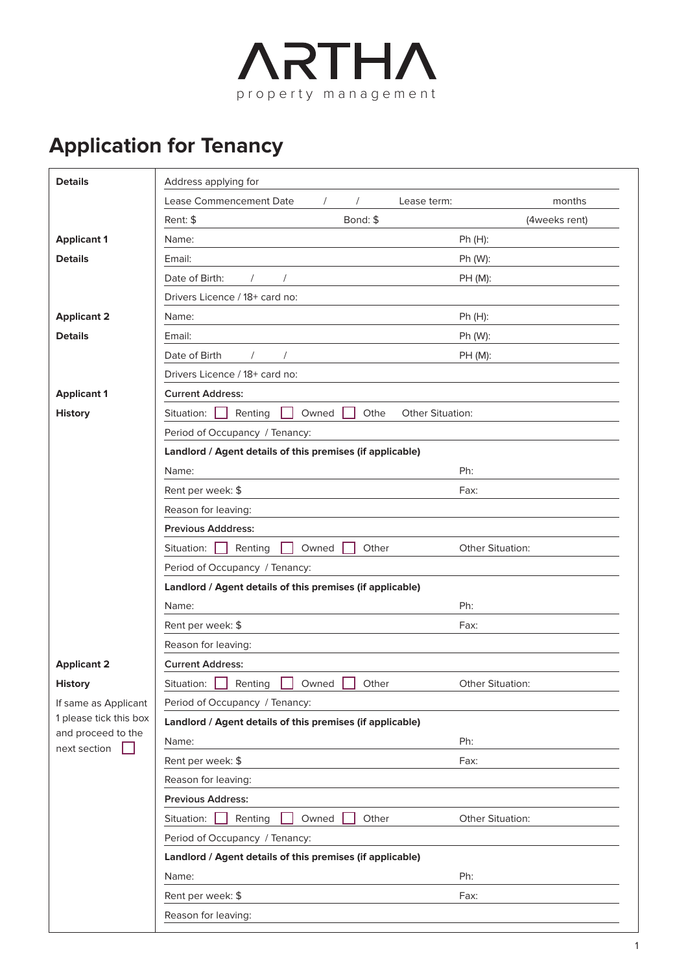

# **Application for Tenancy**

| <b>Details</b>                     | Address applying for                                              |                  |  |  |  |  |  |
|------------------------------------|-------------------------------------------------------------------|------------------|--|--|--|--|--|
|                                    | <b>Lease Commencement Date</b><br>Lease term:                     | months           |  |  |  |  |  |
|                                    | Bond: \$<br>Rent: \$                                              | (4weeks rent)    |  |  |  |  |  |
| <b>Applicant 1</b>                 | Name:                                                             | Ph (H):          |  |  |  |  |  |
| <b>Details</b>                     | Email:                                                            | Ph (W):          |  |  |  |  |  |
|                                    | Date of Birth:                                                    | PH (M):          |  |  |  |  |  |
|                                    | Drivers Licence / 18+ card no:                                    |                  |  |  |  |  |  |
| <b>Applicant 2</b>                 | Name:                                                             | $Ph(H)$ :        |  |  |  |  |  |
| <b>Details</b>                     | Email:                                                            | Ph (W):          |  |  |  |  |  |
|                                    | Date of Birth                                                     | PH (M):          |  |  |  |  |  |
|                                    | Drivers Licence / 18+ card no:                                    |                  |  |  |  |  |  |
| <b>Applicant 1</b>                 | <b>Current Address:</b>                                           |                  |  |  |  |  |  |
| <b>History</b>                     | Situation:<br>Renting<br>Owned<br>Othe<br><b>Other Situation:</b> |                  |  |  |  |  |  |
|                                    | Period of Occupancy / Tenancy:                                    |                  |  |  |  |  |  |
|                                    | Landlord / Agent details of this premises (if applicable)         |                  |  |  |  |  |  |
|                                    | Name:                                                             | Ph:              |  |  |  |  |  |
|                                    | Rent per week: \$                                                 | Fax:             |  |  |  |  |  |
|                                    | Reason for leaving:                                               |                  |  |  |  |  |  |
|                                    | <b>Previous Adddress:</b>                                         |                  |  |  |  |  |  |
|                                    | Other<br>Situation:<br>Renting<br>Owned                           | Other Situation: |  |  |  |  |  |
|                                    | Period of Occupancy / Tenancy:                                    |                  |  |  |  |  |  |
|                                    | Landlord / Agent details of this premises (if applicable)         |                  |  |  |  |  |  |
|                                    | Name:                                                             | Ph:              |  |  |  |  |  |
|                                    | Rent per week: \$                                                 | Fax:             |  |  |  |  |  |
|                                    | Reason for leaving:                                               |                  |  |  |  |  |  |
| <b>Applicant 2</b>                 | <b>Current Address:</b>                                           |                  |  |  |  |  |  |
| <b>History</b>                     | Situation:<br>Renting<br>Owned<br>Other                           | Other Situation: |  |  |  |  |  |
| If same as Applicant               | Period of Occupancy / Tenancy:                                    |                  |  |  |  |  |  |
| 1 please tick this box             | Landlord / Agent details of this premises (if applicable)         |                  |  |  |  |  |  |
| and proceed to the<br>next section | Name:                                                             | Ph:              |  |  |  |  |  |
|                                    | Rent per week: \$                                                 | Fax:             |  |  |  |  |  |
|                                    | Reason for leaving:                                               |                  |  |  |  |  |  |
|                                    | <b>Previous Address:</b>                                          |                  |  |  |  |  |  |
|                                    | Renting<br>Owned<br>Other<br>Situation:                           | Other Situation: |  |  |  |  |  |
|                                    | Period of Occupancy / Tenancy:                                    |                  |  |  |  |  |  |
|                                    | Landlord / Agent details of this premises (if applicable)         |                  |  |  |  |  |  |
|                                    | Name:                                                             | Ph:              |  |  |  |  |  |
|                                    | Rent per week: \$                                                 | Fax:             |  |  |  |  |  |
|                                    | Reason for leaving:                                               |                  |  |  |  |  |  |
|                                    |                                                                   |                  |  |  |  |  |  |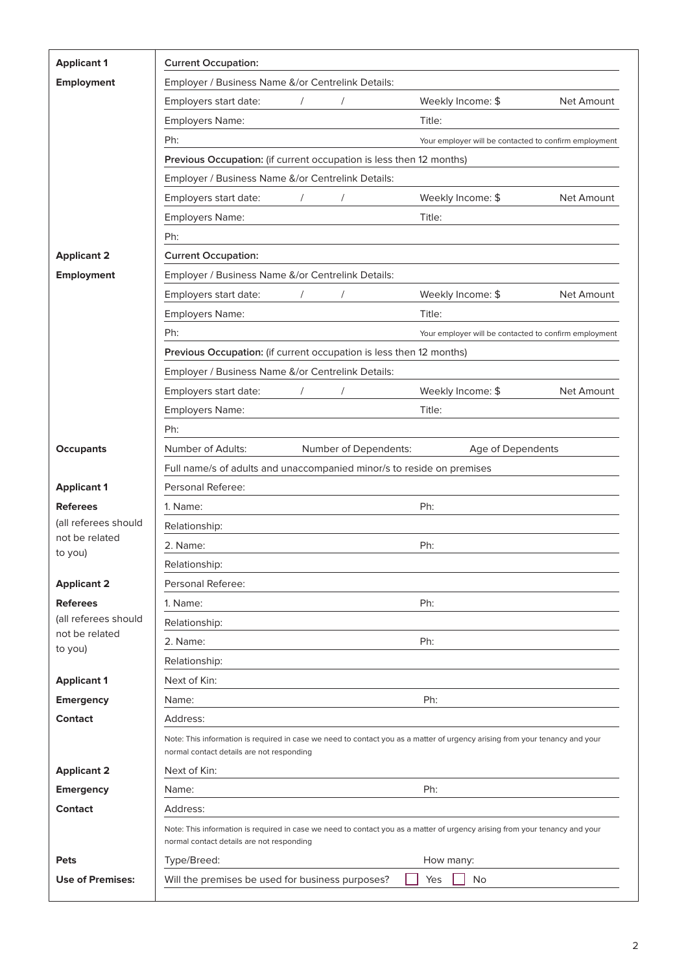| <b>Applicant 1</b>                     | <b>Current Occupation:</b>                                                                                                                                               |            |                       |                                                                                                                             |            |
|----------------------------------------|--------------------------------------------------------------------------------------------------------------------------------------------------------------------------|------------|-----------------------|-----------------------------------------------------------------------------------------------------------------------------|------------|
| Employment                             | Employer / Business Name &/or Centrelink Details:                                                                                                                        |            |                       |                                                                                                                             |            |
|                                        | Employers start date:                                                                                                                                                    |            |                       | Weekly Income: \$                                                                                                           | Net Amount |
|                                        | Employers Name:                                                                                                                                                          |            |                       | Title:                                                                                                                      |            |
|                                        | Ph:                                                                                                                                                                      |            |                       | Your employer will be contacted to confirm employment                                                                       |            |
|                                        | Previous Occupation: (if current occupation is less then 12 months)                                                                                                      |            |                       |                                                                                                                             |            |
|                                        | Employer / Business Name &/or Centrelink Details:                                                                                                                        |            |                       |                                                                                                                             |            |
|                                        | Employers start date:                                                                                                                                                    | $\prime$   | $\prime$              | Weekly Income: \$                                                                                                           | Net Amount |
|                                        | Employers Name:                                                                                                                                                          |            |                       | Title:                                                                                                                      |            |
|                                        | Ph:                                                                                                                                                                      |            |                       |                                                                                                                             |            |
| <b>Applicant 2</b>                     | <b>Current Occupation:</b>                                                                                                                                               |            |                       |                                                                                                                             |            |
| <b>Employment</b>                      | Employer / Business Name &/or Centrelink Details:                                                                                                                        |            |                       |                                                                                                                             |            |
|                                        | Employers start date:                                                                                                                                                    | $\sqrt{2}$ |                       | Weekly Income: \$                                                                                                           | Net Amount |
|                                        | Employers Name:                                                                                                                                                          |            |                       | Title:                                                                                                                      |            |
|                                        | Ph:                                                                                                                                                                      |            |                       | Your employer will be contacted to confirm employment                                                                       |            |
|                                        | Previous Occupation: (if current occupation is less then 12 months)                                                                                                      |            |                       |                                                                                                                             |            |
|                                        | Employer / Business Name &/or Centrelink Details:                                                                                                                        |            |                       |                                                                                                                             |            |
|                                        | Employers start date:                                                                                                                                                    |            |                       | Weekly Income: \$                                                                                                           | Net Amount |
|                                        | Employers Name:                                                                                                                                                          |            |                       | Title:                                                                                                                      |            |
|                                        | Ph:                                                                                                                                                                      |            |                       |                                                                                                                             |            |
| <b>Occupants</b>                       | Number of Adults:                                                                                                                                                        |            | Number of Dependents: | Age of Dependents                                                                                                           |            |
|                                        | Full name/s of adults and unaccompanied minor/s to reside on premises                                                                                                    |            |                       |                                                                                                                             |            |
| <b>Applicant 1</b>                     | Personal Referee:                                                                                                                                                        |            |                       |                                                                                                                             |            |
| <b>Referees</b>                        | Ph:<br>1. Name:                                                                                                                                                          |            |                       |                                                                                                                             |            |
| (all referees should<br>not be related | Relationship:                                                                                                                                                            |            |                       |                                                                                                                             |            |
| to you)                                | Ph:<br>2. Name:                                                                                                                                                          |            |                       |                                                                                                                             |            |
|                                        | Relationship:                                                                                                                                                            |            |                       |                                                                                                                             |            |
| <b>Applicant 2</b>                     | Personal Referee:                                                                                                                                                        |            |                       |                                                                                                                             |            |
| <b>Referees</b>                        | Ph:<br>1. Name:                                                                                                                                                          |            |                       |                                                                                                                             |            |
| (all referees should<br>not be related | Relationship:                                                                                                                                                            |            |                       |                                                                                                                             |            |
| to you)                                | 2. Name:                                                                                                                                                                 |            |                       | Ph:                                                                                                                         |            |
|                                        | Relationship:                                                                                                                                                            |            |                       |                                                                                                                             |            |
| <b>Applicant 1</b>                     | Next of Kin:                                                                                                                                                             |            |                       |                                                                                                                             |            |
| <b>Emergency</b>                       | Ph:<br>Name:                                                                                                                                                             |            |                       |                                                                                                                             |            |
| <b>Contact</b>                         | Address:                                                                                                                                                                 |            |                       |                                                                                                                             |            |
|                                        | normal contact details are not responding                                                                                                                                |            |                       | Note: This information is required in case we need to contact you as a matter of urgency arising from your tenancy and your |            |
| <b>Applicant 2</b>                     | Next of Kin:                                                                                                                                                             |            |                       |                                                                                                                             |            |
| <b>Emergency</b>                       | Ph:<br>Name:                                                                                                                                                             |            |                       |                                                                                                                             |            |
| <b>Contact</b>                         | Address:                                                                                                                                                                 |            |                       |                                                                                                                             |            |
|                                        | Note: This information is required in case we need to contact you as a matter of urgency arising from your tenancy and your<br>normal contact details are not responding |            |                       |                                                                                                                             |            |
| <b>Pets</b>                            | Type/Breed:<br>How many:                                                                                                                                                 |            |                       |                                                                                                                             |            |
| <b>Use of Premises:</b>                | Will the premises be used for business purposes?<br>No<br>Yes                                                                                                            |            |                       |                                                                                                                             |            |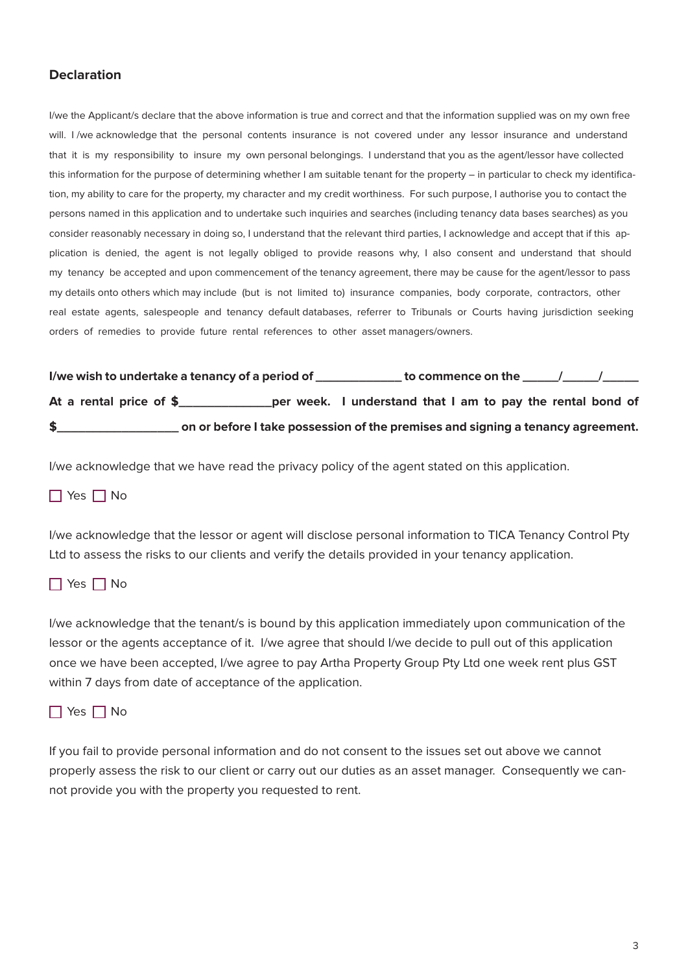## **Declaration**

I/we the Applicant/s declare that the above information is true and correct and that the information supplied was on my own free will. I /we acknowledge that the personal contents insurance is not covered under any lessor insurance and understand that it is my responsibility to insure my own personal belongings. I understand that you as the agent/lessor have collected this information for the purpose of determining whether I am suitable tenant for the property – in particular to check my identification, my ability to care for the property, my character and my credit worthiness. For such purpose, I authorise you to contact the persons named in this application and to undertake such inquiries and searches (including tenancy data bases searches) as you consider reasonably necessary in doing so, I understand that the relevant third parties, I acknowledge and accept that if this application is denied, the agent is not legally obliged to provide reasons why, I also consent and understand that should my tenancy be accepted and upon commencement of the tenancy agreement, there may be cause for the agent/lessor to pass my details onto others which may include (but is not limited to) insurance companies, body corporate, contractors, other real estate agents, salespeople and tenancy default databases, referrer to Tribunals or Courts having jurisdiction seeking orders of remedies to provide future rental references to other asset managers/owners.

|                         | I/we wish to undertake a tenancy of a period of | $\,$ to commence on the $\,$                                                    |  |
|-------------------------|-------------------------------------------------|---------------------------------------------------------------------------------|--|
| At a rental price of \$ |                                                 | per week. I understand that I am to pay the rental bond of                      |  |
|                         |                                                 | on or before I take possession of the premises and signing a tenancy agreement. |  |

I/we acknowledge that we have read the privacy policy of the agent stated on this application.

## $\Box$  Yes  $\Box$  No

I/we acknowledge that the lessor or agent will disclose personal information to TICA Tenancy Control Pty Ltd to assess the risks to our clients and verify the details provided in your tenancy application.

### $\Box$  Yes  $\Box$  No

I/we acknowledge that the tenant/s is bound by this application immediately upon communication of the lessor or the agents acceptance of it. I/we agree that should I/we decide to pull out of this application once we have been accepted, I/we agree to pay Artha Property Group Pty Ltd one week rent plus GST within 7 days from date of acceptance of the application.



If you fail to provide personal information and do not consent to the issues set out above we cannot properly assess the risk to our client or carry out our duties as an asset manager. Consequently we cannot provide you with the property you requested to rent.